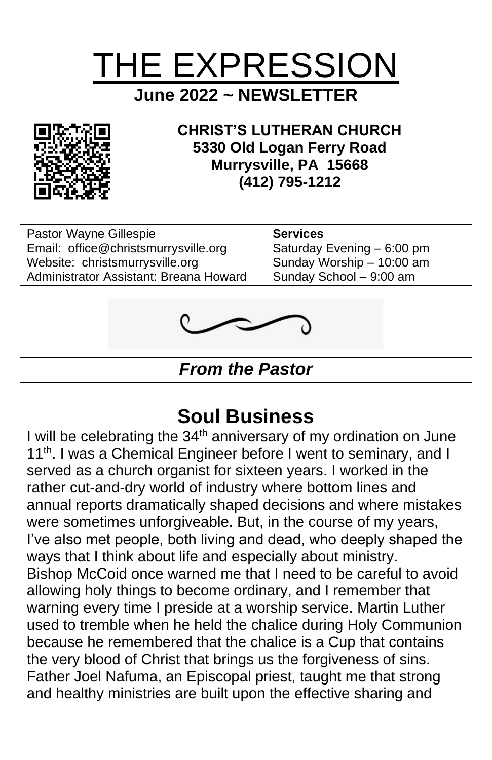



**CHRIST'S LUTHERAN CHURCH 5330 Old Logan Ferry Road Murrysville, PA 15668 (412) 795-1212**

Pastor Wayne Gillespie **Services**<br>
Email: office@christsmurrysville.org Saturday Evening – 6:00 pm Email: [office@christsmurrysville.org](mailto:office@christsmurrysville.org) Saturday Evening – 6:00 pm<br>Website: christsmurrysville.org Sunday Worship – 10:00 am Website: christsmurrysville.org Administrator Assistant: Breana Howard Sunday School - 9:00 am



*From the Pastor*

# **Soul Business**

I will be celebrating the  $34<sup>th</sup>$  anniversary of my ordination on June 11<sup>th</sup>. I was a Chemical Engineer before I went to seminary, and I served as a church organist for sixteen years. I worked in the rather cut-and-dry world of industry where bottom lines and annual reports dramatically shaped decisions and where mistakes were sometimes unforgiveable. But, in the course of my years, I've also met people, both living and dead, who deeply shaped the ways that I think about life and especially about ministry. Bishop McCoid once warned me that I need to be careful to avoid allowing holy things to become ordinary, and I remember that warning every time I preside at a worship service. Martin Luther used to tremble when he held the chalice during Holy Communion because he remembered that the chalice is a Cup that contains the very blood of Christ that brings us the forgiveness of sins. Father Joel Nafuma, an Episcopal priest, taught me that strong and healthy ministries are built upon the effective sharing and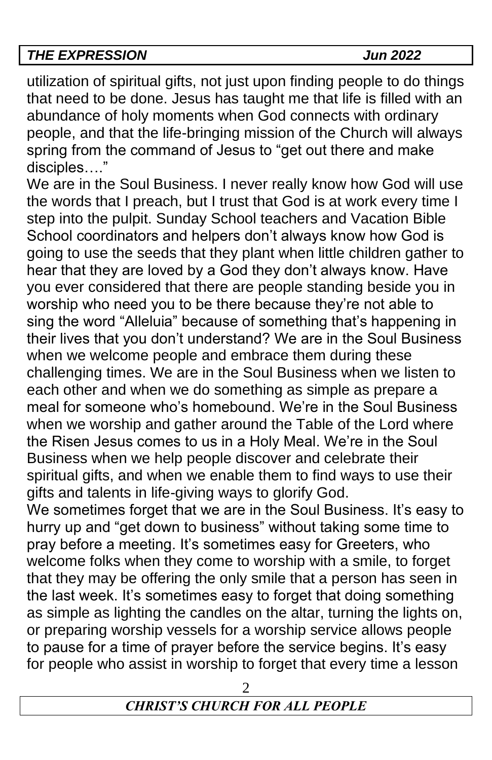utilization of spiritual gifts, not just upon finding people to do things that need to be done. Jesus has taught me that life is filled with an abundance of holy moments when God connects with ordinary people, and that the life-bringing mission of the Church will always spring from the command of Jesus to "get out there and make disciples…."

We are in the Soul Business. I never really know how God will use the words that I preach, but I trust that God is at work every time I step into the pulpit. Sunday School teachers and Vacation Bible School coordinators and helpers don't always know how God is going to use the seeds that they plant when little children gather to hear that they are loved by a God they don't always know. Have you ever considered that there are people standing beside you in worship who need you to be there because they're not able to sing the word "Alleluia" because of something that's happening in their lives that you don't understand? We are in the Soul Business when we welcome people and embrace them during these challenging times. We are in the Soul Business when we listen to each other and when we do something as simple as prepare a meal for someone who's homebound. We're in the Soul Business when we worship and gather around the Table of the Lord where the Risen Jesus comes to us in a Holy Meal. We're in the Soul Business when we help people discover and celebrate their spiritual gifts, and when we enable them to find ways to use their gifts and talents in life-giving ways to glorify God.

We sometimes forget that we are in the Soul Business. It's easy to hurry up and "get down to business" without taking some time to pray before a meeting. It's sometimes easy for Greeters, who welcome folks when they come to worship with a smile, to forget that they may be offering the only smile that a person has seen in the last week. It's sometimes easy to forget that doing something as simple as lighting the candles on the altar, turning the lights on, or preparing worship vessels for a worship service allows people to pause for a time of prayer before the service begins. It's easy for people who assist in worship to forget that every time a lesson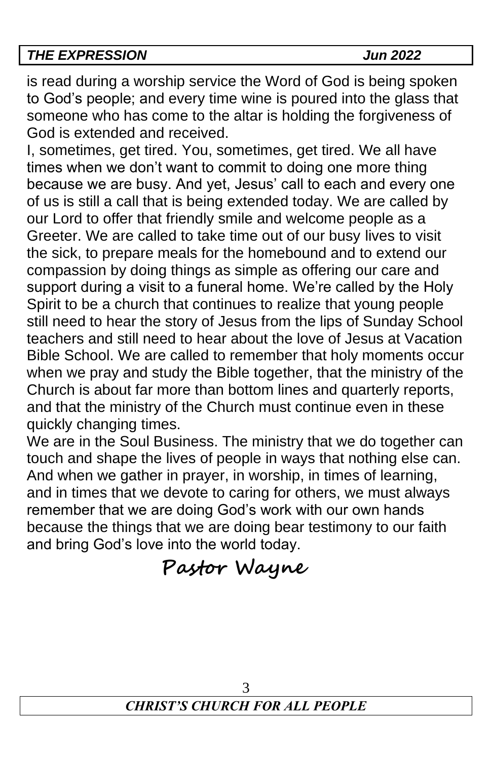is read during a worship service the Word of God is being spoken to God's people; and every time wine is poured into the glass that someone who has come to the altar is holding the forgiveness of God is extended and received.

I, sometimes, get tired. You, sometimes, get tired. We all have times when we don't want to commit to doing one more thing because we are busy. And yet, Jesus' call to each and every one of us is still a call that is being extended today. We are called by our Lord to offer that friendly smile and welcome people as a Greeter. We are called to take time out of our busy lives to visit the sick, to prepare meals for the homebound and to extend our compassion by doing things as simple as offering our care and support during a visit to a funeral home. We're called by the Holy Spirit to be a church that continues to realize that young people still need to hear the story of Jesus from the lips of Sunday School teachers and still need to hear about the love of Jesus at Vacation Bible School. We are called to remember that holy moments occur when we pray and study the Bible together, that the ministry of the Church is about far more than bottom lines and quarterly reports, and that the ministry of the Church must continue even in these quickly changing times.

We are in the Soul Business. The ministry that we do together can touch and shape the lives of people in ways that nothing else can. And when we gather in prayer, in worship, in times of learning, and in times that we devote to caring for others, we must always remember that we are doing God's work with our own hands because the things that we are doing bear testimony to our faith and bring God's love into the world today.

**Pastor Wayne**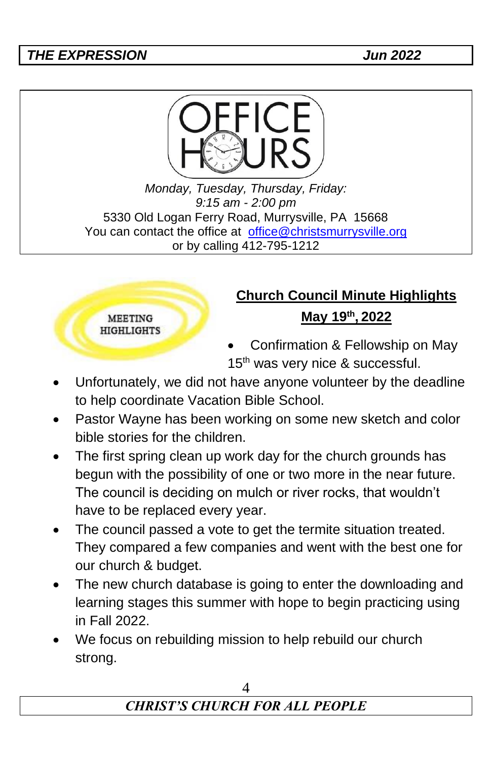

*Monday, Tuesday, Thursday, Friday: 9:15 am - 2:00 pm* 5330 Old Logan Ferry Road, Murrysville, PA 15668 You can contact the office at [office@christsmurrysville.org](mailto:office@christsmurrysville.org) or by calling 412-795-1212

#### **MEETING HIGHLIGHTS**

# **Church Council Minute Highlights May 19th , 2022**

• Confirmation & Fellowship on May 15<sup>th</sup> was very nice & successful.

- Unfortunately, we did not have anyone volunteer by the deadline to help coordinate Vacation Bible School.
- Pastor Wayne has been working on some new sketch and color bible stories for the children.
- The first spring clean up work day for the church grounds has begun with the possibility of one or two more in the near future. The council is deciding on mulch or river rocks, that wouldn't have to be replaced every year.
- The council passed a vote to get the termite situation treated. They compared a few companies and went with the best one for our church & budget.
- The new church database is going to enter the downloading and learning stages this summer with hope to begin practicing using in Fall 2022.
- We focus on rebuilding mission to help rebuild our church strong.

# *CHRIST'S CHURCH FOR ALL PEOPLE*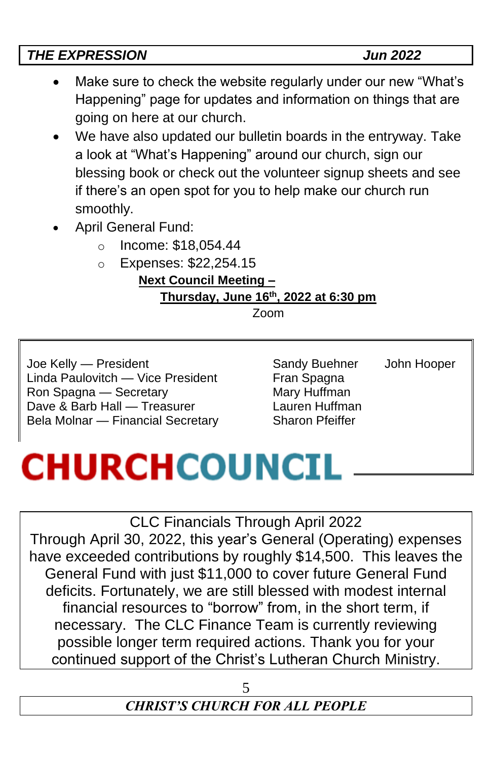# *THE EXPRESSION Jun 2022* • Make sure to check the website regularly under our new "What's Happening" page for updates and information on things that are going on here at our church.

- We have also updated our bulletin boards in the entryway. Take a look at "What's Happening" around our church, sign our blessing book or check out the volunteer signup sheets and see if there's an open spot for you to help make our church run smoothly.
- April General Fund:
	- o Income: \$18,054.44
	- o Expenses: \$22,254.15

**Next Council Meeting – Thursday, June 16th, 2022 at 6:30 pm**

Zoom

Joe Kelly — President **Sandy Buehner** John Hooper Linda Paulovitch — Vice President Fran Spagna Ron Spagna — Secretary Mary Huffman Dave & Barb Hall — Treasurer **Lauren Huffman** Bela Molnar — Financial Secretary Sharon Pfeiffer

# **CHURCHCOUNCIL**

CLC Financials Through April 2022

Through April 30, 2022, this year's General (Operating) expenses have exceeded contributions by roughly \$14,500. This leaves the General Fund with just \$11,000 to cover future General Fund deficits. Fortunately, we are still blessed with modest internal financial resources to "borrow" from, in the short term, if necessary. The CLC Finance Team is currently reviewing possible longer term required actions. Thank you for your continued support of the Christ's Lutheran Church Ministry.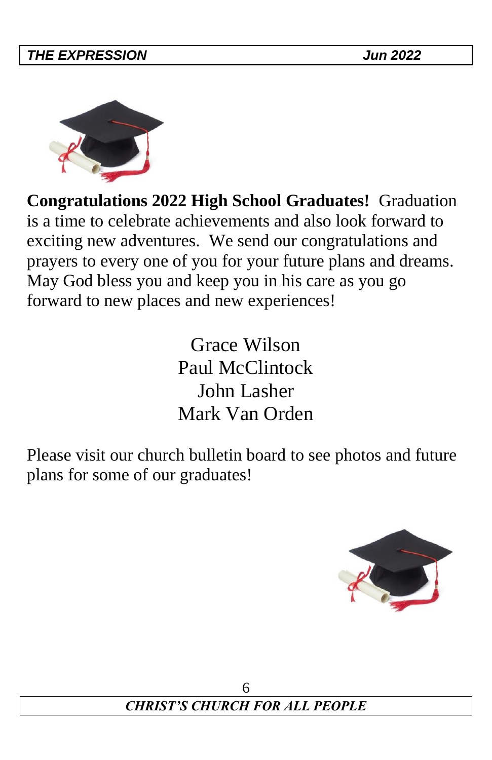

**Congratulations 2022 High School Graduates!** Graduation is a time to celebrate achievements and also look forward to exciting new adventures. We send our congratulations and prayers to every one of you for your future plans and dreams. May God bless you and keep you in his care as you go forward to new places and new experiences!

> Grace Wilson Paul McClintock John Lasher Mark Van Orden

Please visit our church bulletin board to see photos and future plans for some of our graduates!

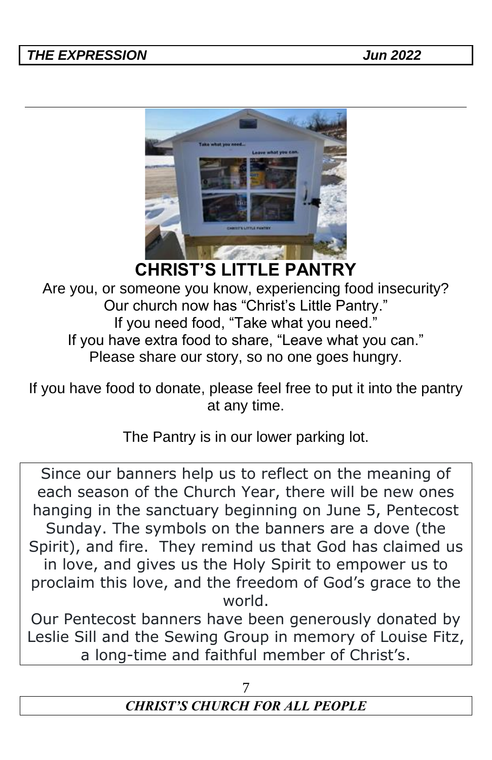

**CHRIST'S LITTLE PANTRY**

Are you, or someone you know, experiencing food insecurity? Our church now has "Christ's Little Pantry." If you need food, "Take what you need." If you have extra food to share, "Leave what you can." Please share our story, so no one goes hungry.

If you have food to donate, please feel free to put it into the pantry at any time.

The Pantry is in our lower parking lot.

Since our banners help us to reflect on the meaning of each season of the Church Year, there will be new ones hanging in the sanctuary beginning on June 5, Pentecost Sunday. The symbols on the banners are a dove (the Spirit), and fire. They remind us that God has claimed us in love, and gives us the Holy Spirit to empower us to proclaim this love, and the freedom of God's grace to the world.

Our Pentecost banners have been generously donated by Leslie Sill and the Sewing Group in memory of Louise Fitz, a long-time and faithful member of Christ's.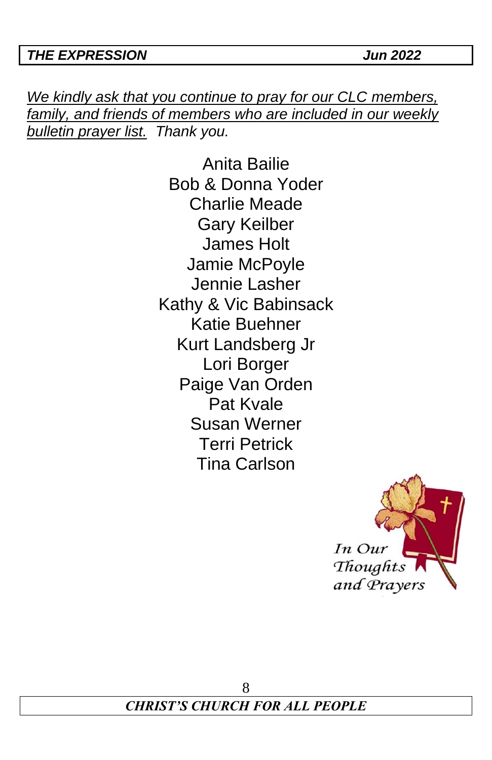*We kindly ask that you continue to pray for our CLC members, family, and friends of members who are included in our weekly bulletin prayer list. Thank you.*

> Anita Bailie Bob & Donna Yoder Charlie Meade Gary Keilber James Holt Jamie McPoyle Jennie Lasher Kathy & Vic Babinsack Katie Buehner Kurt Landsberg Jr Lori Borger Paige Van Orden Pat Kvale Susan Werner Terri Petrick Tina Carlson

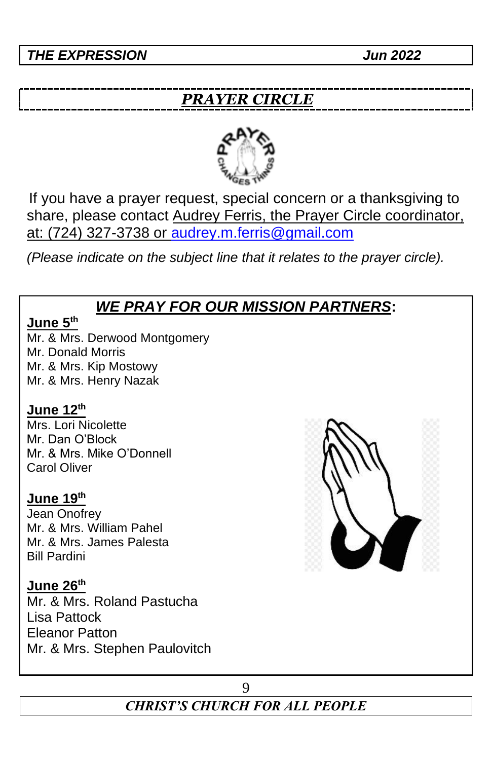# *PRAYER CIRCLE*



If you have a prayer request, special concern or a thanksgiving to share, please contact Audrey Ferris, the Prayer Circle coordinator, at: (724) 327-3738 or [audrey.m.ferris@gmail.com](mailto:audrey.m.ferris@gmail.com)

*(Please indicate on the subject line that it relates to the prayer circle).*

# *WE PRAY FOR OUR MISSION PARTNERS***:**

#### **June 5th**

Mr. & Mrs. Derwood Montgomery Mr. Donald Morris Mr. & Mrs. Kip Mostowy Mr. & Mrs. Henry Nazak

#### **June 12th**

Mrs. Lori Nicolette Mr. Dan O'Block Mr. & Mrs. Mike O'Donnell Carol Oliver

#### **June 19th**

Jean Onofrey Mr. & Mrs. William Pahel Mr. & Mrs. James Palesta Bill Pardini

#### **June 26th**

Mr. & Mrs. Roland Pastucha Lisa Pattock Eleanor Patton Mr. & Mrs. Stephen Paulovitch



# *CHRIST'S CHURCH FOR ALL PEOPLE*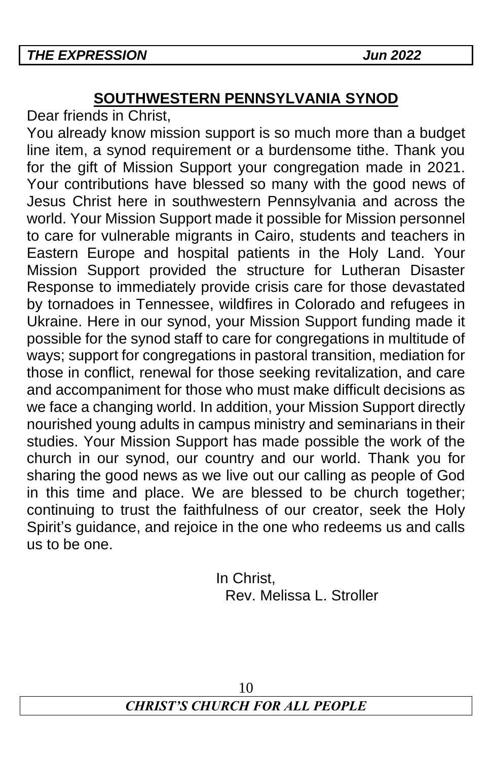# **SOUTHWESTERN PENNSYLVANIA SYNOD**

Dear friends in Christ,

You already know mission support is so much more than a budget line item, a synod requirement or a burdensome tithe. Thank you for the gift of Mission Support your congregation made in 2021. Your contributions have blessed so many with the good news of Jesus Christ here in southwestern Pennsylvania and across the world. Your Mission Support made it possible for Mission personnel to care for vulnerable migrants in Cairo, students and teachers in Eastern Europe and hospital patients in the Holy Land. Your Mission Support provided the structure for Lutheran Disaster Response to immediately provide crisis care for those devastated by tornadoes in Tennessee, wildfires in Colorado and refugees in Ukraine. Here in our synod, your Mission Support funding made it possible for the synod staff to care for congregations in multitude of ways; support for congregations in pastoral transition, mediation for those in conflict, renewal for those seeking revitalization, and care and accompaniment for those who must make difficult decisions as we face a changing world. In addition, your Mission Support directly nourished young adults in campus ministry and seminarians in their studies. Your Mission Support has made possible the work of the church in our synod, our country and our world. Thank you for sharing the good news as we live out our calling as people of God in this time and place. We are blessed to be church together; continuing to trust the faithfulness of our creator, seek the Holy Spirit's guidance, and rejoice in the one who redeems us and calls us to be one.

> In Christ, Rev. Melissa L. Stroller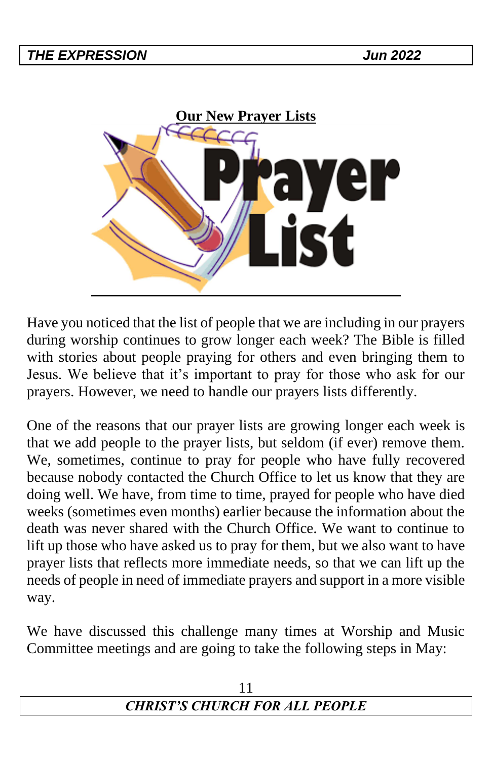

Have you noticed that the list of people that we are including in our prayers during worship continues to grow longer each week? The Bible is filled with stories about people praying for others and even bringing them to Jesus. We believe that it's important to pray for those who ask for our prayers. However, we need to handle our prayers lists differently.

One of the reasons that our prayer lists are growing longer each week is that we add people to the prayer lists, but seldom (if ever) remove them. We, sometimes, continue to pray for people who have fully recovered because nobody contacted the Church Office to let us know that they are doing well. We have, from time to time, prayed for people who have died weeks (sometimes even months) earlier because the information about the death was never shared with the Church Office. We want to continue to lift up those who have asked us to pray for them, but we also want to have prayer lists that reflects more immediate needs, so that we can lift up the needs of people in need of immediate prayers and support in a more visible way.

We have discussed this challenge many times at Worship and Music Committee meetings and are going to take the following steps in May:

| <b>CHRIST'S CHURCH FOR ALL PEOPLE</b> |  |
|---------------------------------------|--|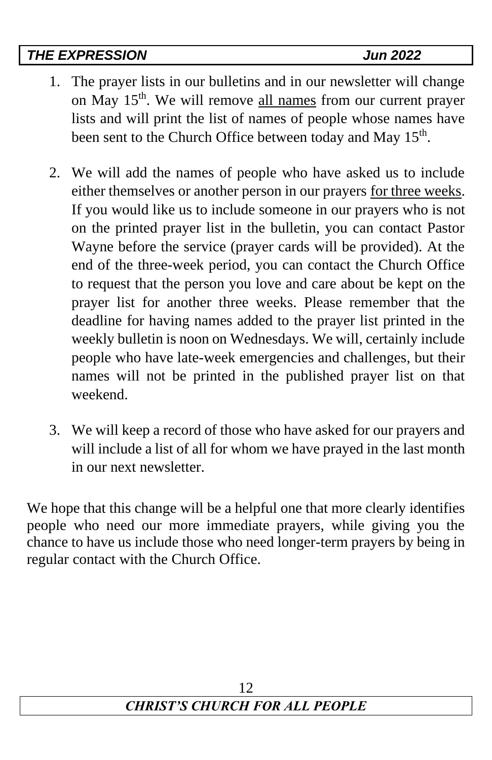- 1. The prayer lists in our bulletins and in our newsletter will change on May 15<sup>th</sup>. We will remove all names from our current prayer lists and will print the list of names of people whose names have been sent to the Church Office between today and May 15<sup>th</sup>.
- 2. We will add the names of people who have asked us to include either themselves or another person in our prayers for three weeks. If you would like us to include someone in our prayers who is not on the printed prayer list in the bulletin, you can contact Pastor Wayne before the service (prayer cards will be provided). At the end of the three-week period, you can contact the Church Office to request that the person you love and care about be kept on the prayer list for another three weeks. Please remember that the deadline for having names added to the prayer list printed in the weekly bulletin is noon on Wednesdays. We will, certainly include people who have late-week emergencies and challenges, but their names will not be printed in the published prayer list on that weekend.
- 3. We will keep a record of those who have asked for our prayers and will include a list of all for whom we have prayed in the last month in our next newsletter.

We hope that this change will be a helpful one that more clearly identifies people who need our more immediate prayers, while giving you the chance to have us include those who need longer-term prayers by being in regular contact with the Church Office.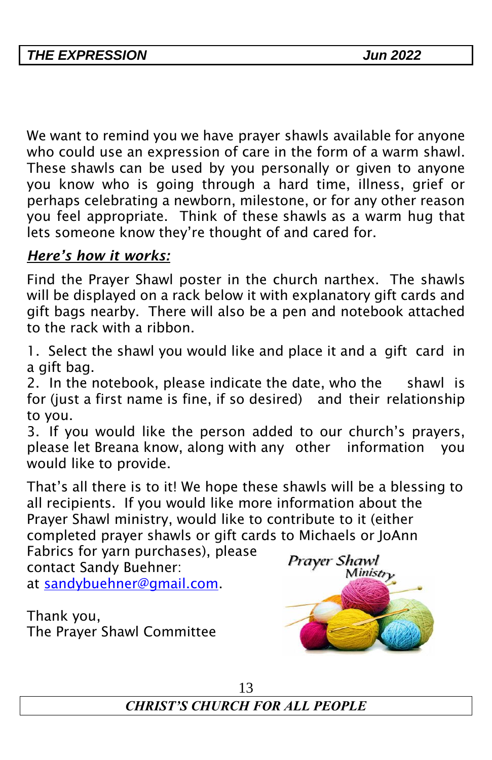We want to remind you we have prayer shawls available for anyone who could use an expression of care in the form of a warm shawl. These shawls can be used by you personally or given to anyone you know who is going through a hard time, illness, grief or perhaps celebrating a newborn, milestone, or for any other reason you feel appropriate. Think of these shawls as a warm hug that lets someone know they're thought of and cared for.

# *Here's how it works:*

Find the Prayer Shawl poster in the church narthex. The shawls will be displayed on a rack below it with explanatory gift cards and gift bags nearby. There will also be a pen and notebook attached to the rack with a ribbon.

1. Select the shawl you would like and place it and a gift card in a gift bag.

2. In the notebook, please indicate the date, who the shawl is for (just a first name is fine, if so desired) and their relationship to you.

3. If you would like the person added to our church's prayers, please let Breana know, along with any other information you would like to provide.

That's all there is to it! We hope these shawls will be a blessing to all recipients. If you would like more information about the Prayer Shawl ministry, would like to contribute to it (either completed prayer shawls or gift cards to Michaels or JoAnn

Fabrics for yarn purchases), please contact Sandy Buehner:

at [sandybuehner@gmail.com.](mailto:sandybuehner@gmail.com)

Thank you, The Prayer Shawl Committee

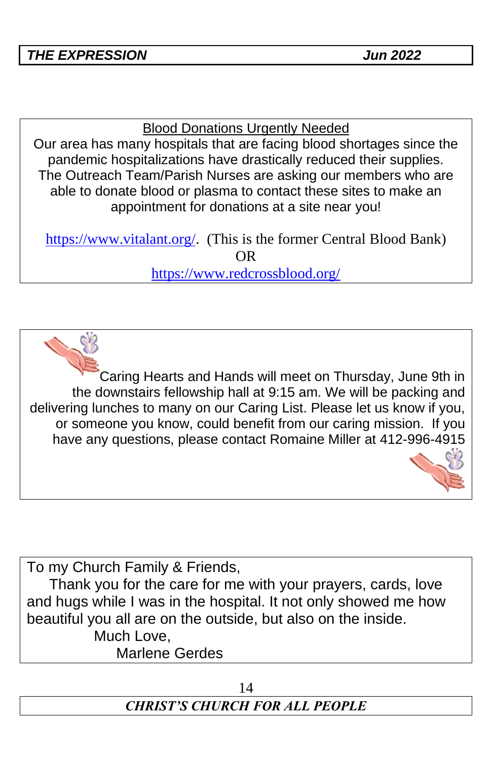#### Blood Donations Urgently Needed

Our area has many hospitals that are facing blood shortages since the pandemic hospitalizations have drastically reduced their supplies. The Outreach Team/Parish Nurses are asking our members who are able to donate blood or plasma to contact these sites to make an appointment for donations at a site near you!

[https://www.vitalant.org/.](https://www.vitalant.org/) (This is the former Central Blood Bank) OR

<https://www.redcrossblood.org/>

Caring Hearts and Hands will meet on Thursday, June 9th in the downstairs fellowship hall at 9:15 am. We will be packing and delivering lunches to many on our Caring List. Please let us know if you, or someone you know, could benefit from our caring mission. If you have any questions, please contact Romaine Miller at 412-996-4915

To my Church Family & Friends,

Thank you for the care for me with your prayers, cards, love and hugs while I was in the hospital. It not only showed me how beautiful you all are on the outside, but also on the inside. Much Love.

Marlene Gerdes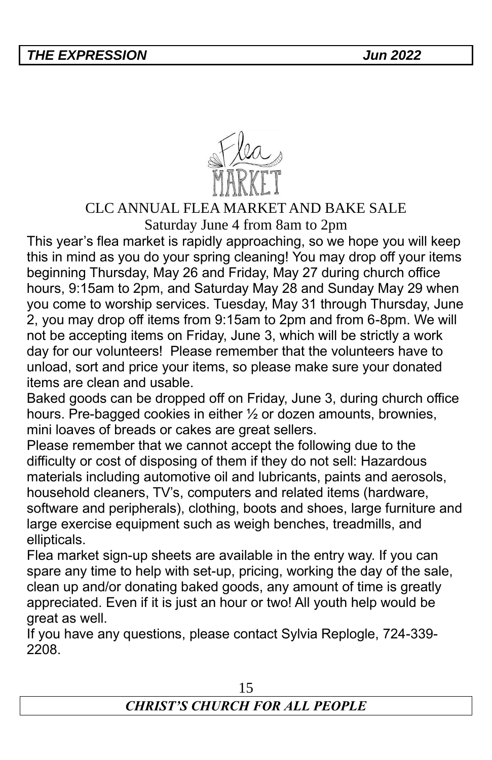

## CLC ANNUAL FLEA MARKET AND BAKE SALE

Saturday June 4 from 8am to 2pm

This year's flea market is rapidly approaching, so we hope you will keep this in mind as you do your spring cleaning! You may drop off your items beginning Thursday, May 26 and Friday, May 27 during church office hours, 9:15am to 2pm, and Saturday May 28 and Sunday May 29 when you come to worship services. Tuesday, May 31 through Thursday, June 2, you may drop off items from 9:15am to 2pm and from 6-8pm. We will not be accepting items on Friday, June 3, which will be strictly a work day for our volunteers! Please remember that the volunteers have to unload, sort and price your items, so please make sure your donated items are clean and usable.

Baked goods can be dropped off on Friday, June 3, during church office hours. Pre-bagged cookies in either 1/2 or dozen amounts, brownies, mini loaves of breads or cakes are great sellers.

Please remember that we cannot accept the following due to the difficulty or cost of disposing of them if they do not sell: Hazardous materials including automotive oil and lubricants, paints and aerosols, household cleaners, TV's, computers and related items (hardware, software and peripherals), clothing, boots and shoes, large furniture and large exercise equipment such as weigh benches, treadmills, and ellipticals.

Flea market sign-up sheets are available in the entry way. If you can spare any time to help with set-up, pricing, working the day of the sale, clean up and/or donating baked goods, any amount of time is greatly appreciated. Even if it is just an hour or two! All youth help would be great as well.

If you have any questions, please contact Sylvia Replogle, 724-339- 2208.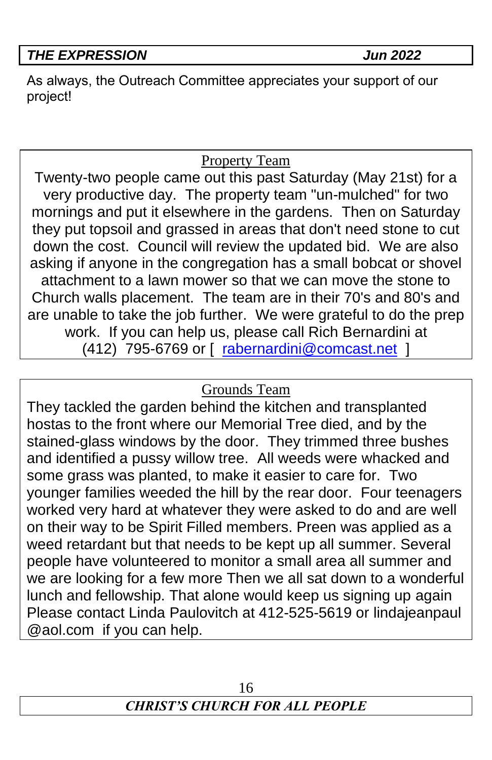As always, the Outreach Committee appreciates your support of our project!

# Property Team

Twenty-two people came out this past Saturday (May 21st) for a very productive day. The property team "un-mulched" for two mornings and put it elsewhere in the gardens. Then on Saturday they put topsoil and grassed in areas that don't need stone to cut down the cost. Council will review the updated bid. We are also asking if anyone in the congregation has a small bobcat or shovel attachment to a lawn mower so that we can move the stone to Church walls placement. The team are in their 70's and 80's and are unable to take the job further. We were grateful to do the prep work. If you can help us, please call Rich Bernardini at (412) 795-6769 or [ [rabernardini@comcast.net](mailto:rabernardini@comcast.net) ]

# Grounds Team

They tackled the garden behind the kitchen and transplanted hostas to the front where our Memorial Tree died, and by the stained-glass windows by the door. They trimmed three bushes and identified a pussy willow tree. All weeds were whacked and some grass was planted, to make it easier to care for. Two younger families weeded the hill by the rear door. Four teenagers worked very hard at whatever they were asked to do and are well on their way to be Spirit Filled members. Preen was applied as a weed retardant but that needs to be kept up all summer. Several people have volunteered to monitor a small area all summer and we are looking for a few more Then we all sat down to a wonderful lunch and fellowship. That alone would keep us signing up again Please contact Linda Paulovitch at 412-525-5619 or lindajeanpaul @aol.com if you can help.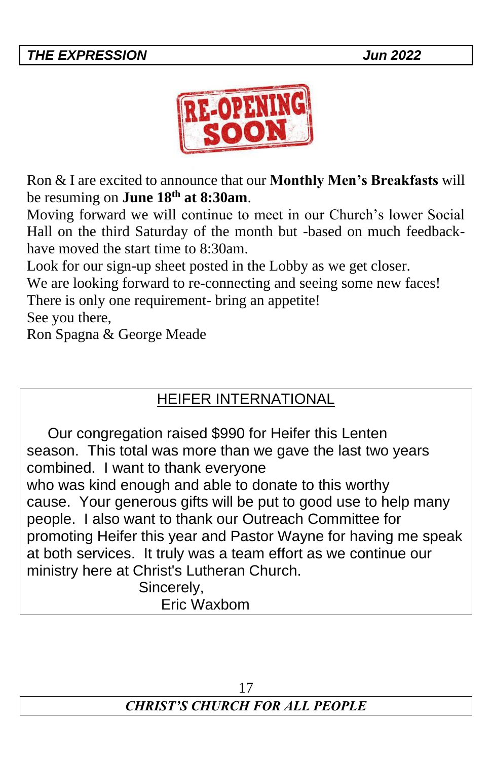

Ron & I are excited to announce that our **Monthly Men's Breakfasts** will be resuming on **June 18th at 8:30am**.

Moving forward we will continue to meet in our Church's lower Social Hall on the third Saturday of the month but -based on much feedbackhave moved the start time to 8:30am.

Look for our sign-up sheet posted in the Lobby as we get closer.

We are looking forward to re-connecting and seeing some new faces!

There is only one requirement- bring an appetite!

See you there,

Ron Spagna & George Meade

# HEIFER INTERNATIONAL

Our congregation raised \$990 for Heifer this Lenten season. This total was more than we gave the last two years combined. I want to thank everyone who was kind enough and able to donate to this worthy cause. Your generous gifts will be put to good use to help many people. I also want to thank our Outreach Committee for promoting Heifer this year and Pastor Wayne for having me speak at both services. It truly was a team effort as we continue our ministry here at Christ's Lutheran Church.

Sincerely, Eric Waxbom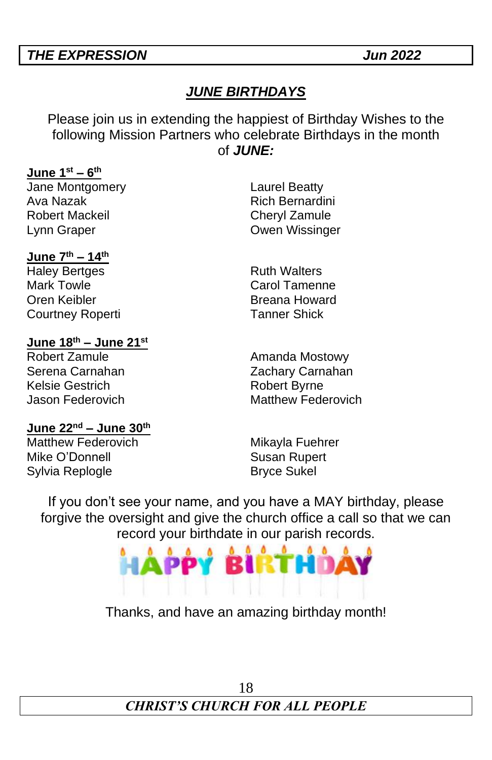#### *JUNE BIRTHDAYS*

Please join us in extending the happiest of Birthday Wishes to the following Mission Partners who celebrate Birthdays in the month of *JUNE:*

#### **June 1 st – 6 th**

Jane Montgomery Laurel Beatty Ava Nazak **Rich Bernardini** Robert Mackeil **Cheryl** Zamule Lynn Graper Owen Wissinger

#### **June 7th – 14th**

Haley Bertges **Ruth Walters** Mark Towle **Carol Tamenne** Oren Keibler **Breana Howard** Courtney Roperti **Tanner Shick** 

#### **June 18th – June 21 st**

Robert Zamule **Amanda Mostowy** Serena Carnahan **Zachary Carnahan** Kelsie Gestrich **Robert Byrne** 

Jason Federovich Matthew Federovich

#### **June 22nd – June 30th**

Matthew Federovich Mikayla Fuehrer<br>Mike O'Donnell Mikayla Susan Rupert Mike O'Donnell Sylvia Replogle **Bryce Sukel** 

If you don't see your name, and you have a MAY birthday, please forgive the oversight and give the church office a call so that we can record your birthdate in our parish records.



Thanks, and have an amazing birthday month!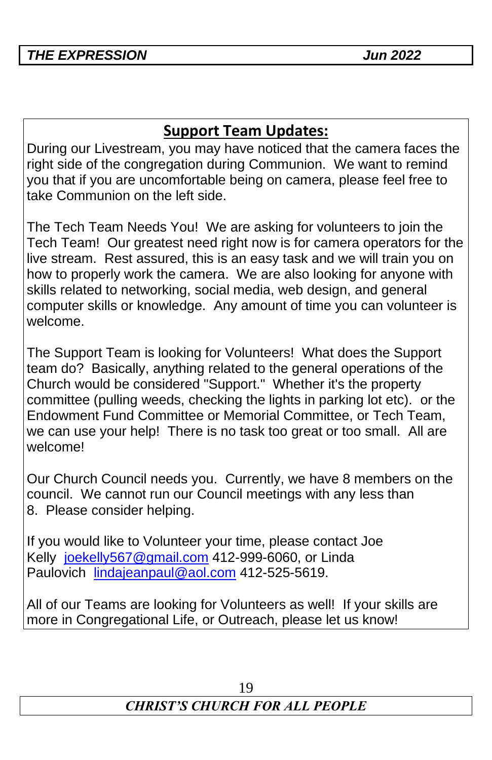# **Support Team Updates:**

During our Livestream, you may have noticed that the camera faces the right side of the congregation during Communion. We want to remind you that if you are uncomfortable being on camera, please feel free to take Communion on the left side.

The Tech Team Needs You! We are asking for volunteers to join the Tech Team! Our greatest need right now is for camera operators for the live stream. Rest assured, this is an easy task and we will train you on how to properly work the camera. We are also looking for anyone with skills related to networking, social media, web design, and general computer skills or knowledge. Any amount of time you can volunteer is welcome.

The Support Team is looking for Volunteers! What does the Support team do? Basically, anything related to the general operations of the Church would be considered "Support." Whether it's the property committee (pulling weeds, checking the lights in parking lot etc). or the Endowment Fund Committee or Memorial Committee, or Tech Team, we can use your help! There is no task too great or too small. All are welcome!

Our Church Council needs you. Currently, we have 8 members on the council. We cannot run our Council meetings with any less than 8. Please consider helping.

If you would like to Volunteer your time, please contact Joe Kelly [joekelly567@gmail.com](mailto:joekelly567@gmail.com) 412-999-6060, or Linda Paulovich [lindajeanpaul@aol.com](mailto:lindajeanpaul@aol.com) 412-525-5619.

All of our Teams are looking for Volunteers as well! If your skills are more in Congregational Life, or Outreach, please let us know!